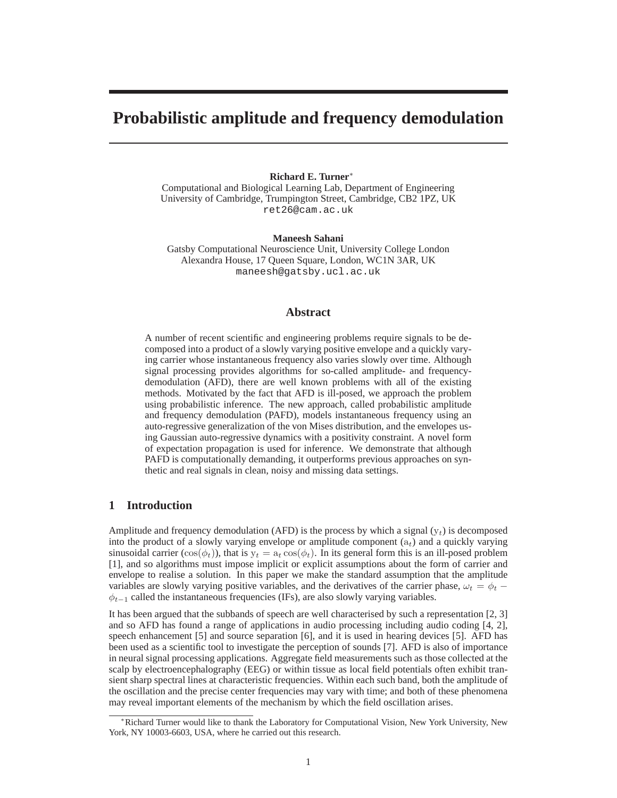# **Probabilistic amplitude and frequency demodulation**

#### **Richard E. Turner**<sup>∗</sup>

Computational and Biological Learning Lab, Department of Engineering University of Cambridge, Trumpington Street, Cambridge, CB2 1PZ, UK ret26@cam.ac.uk

**Maneesh Sahani**

Gatsby Computational Neuroscience Unit, University College London Alexandra House, 17 Queen Square, London, WC1N 3AR, UK maneesh@gatsby.ucl.ac.uk

## **Abstract**

A number of recent scientific and engineering problems require signals to be decomposed into a product of a slowly varying positive envelope and a quickly varying carrier whose instantaneous frequency also varies slowly over time. Although signal processing provides algorithms for so-called amplitude- and frequencydemodulation (AFD), there are well known problems with all of the existing methods. Motivated by the fact that AFD is ill-posed, we approach the problem using probabilistic inference. The new approach, called probabilistic amplitude and frequency demodulation (PAFD), models instantaneous frequency using an auto-regressive generalization of the von Mises distribution, and the envelopes using Gaussian auto-regressive dynamics with a positivity constraint. A novel form of expectation propagation is used for inference. We demonstrate that although PAFD is computationally demanding, it outperforms previous approaches on synthetic and real signals in clean, noisy and missing data settings.

## **1 Introduction**

Amplitude and frequency demodulation (AFD) is the process by which a signal  $(y_t)$  is decomposed into the product of a slowly varying envelope or amplitude component  $(a_t)$  and a quickly varying sinusoidal carrier (cos( $\phi_t$ )), that is  $y_t = a_t \cos(\phi_t)$ . In its general form this is an ill-posed problem [1], and so algorithms must impose implicit or explicit assumptions about the form of carrier and envelope to realise a solution. In this paper we make the standard assumption that the amplitude variables are slowly varying positive variables, and the derivatives of the carrier phase,  $\omega_t = \phi_t$  –  $\phi_{t-1}$  called the instantaneous frequencies (IFs), are also slowly varying variables.

It has been argued that the subbands of speech are well characterised by such a representation [2, 3] and so AFD has found a range of applications in audio processing including audio coding [4, 2], speech enhancement [5] and source separation [6], and it is used in hearing devices [5]. AFD has been used as a scientific tool to investigate the perception of sounds [7]. AFD is also of importance in neural signal processing applications. Aggregate field measurements such as those collected at the scalp by electroencephalography (EEG) or within tissue as local field potentials often exhibit transient sharp spectral lines at characteristic frequencies. Within each such band, both the amplitude of the oscillation and the precise center frequencies may vary with time; and both of these phenomena may reveal important elements of the mechanism by which the field oscillation arises.

<sup>∗</sup>Richard Turner would like to thank the Laboratory for Computational Vision, New York University, New York, NY 10003-6603, USA, where he carried out this research.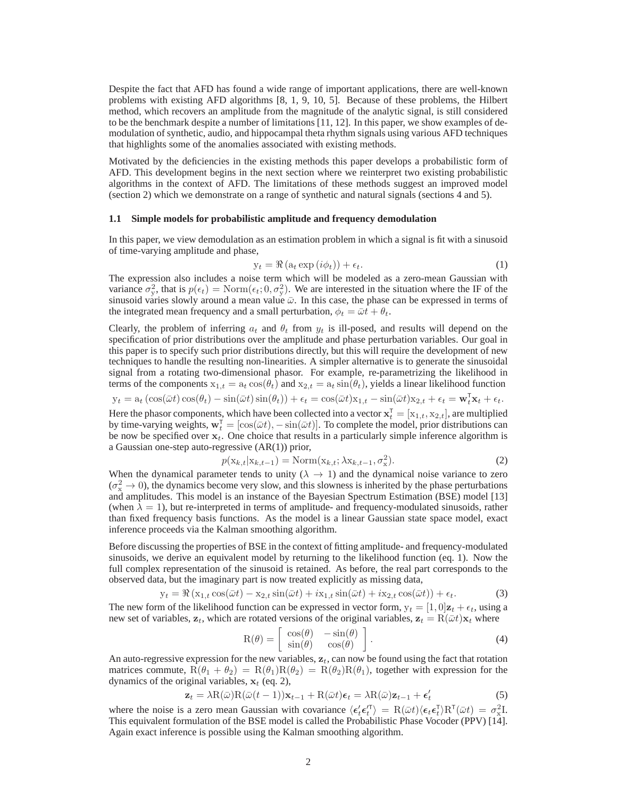Despite the fact that AFD has found a wide range of important applications, there are well-known problems with existing AFD algorithms [8, 1, 9, 10, 5]. Because of these problems, the Hilbert method, which recovers an amplitude from the magnitude of the analytic signal, is still considered to be the benchmark despite a number of limitations [11, 12]. In this paper, we show examples of demodulation of synthetic, audio, and hippocampal theta rhythm signals using various AFD techniques that highlights some of the anomalies associated with existing methods.

Motivated by the deficiencies in the existing methods this paper develops a probabilistic form of AFD. This development begins in the next section where we reinterpret two existing probabilistic algorithms in the context of AFD. The limitations of these methods suggest an improved model (section 2) which we demonstrate on a range of synthetic and natural signals (sections 4 and 5).

## **1.1 Simple models for probabilistic amplitude and frequency demodulation**

In this paper, we view demodulation as an estimation problem in which a signal is fit with a sinusoid of time-varying amplitude and phase,

$$
y_t = \Re\left(a_t \exp\left(i\phi_t\right)\right) + \epsilon_t.
$$
 (1)

The expression also includes a noise term which will be modeled as a zero-mean Gaussian with variance  $\sigma_y^2$ , that is  $p(\epsilon_t) = \text{Norm}(\epsilon_t; 0, \sigma_y^2)$ . We are interested in the situation where the IF of the sinusoid varies slowly around a mean value  $\bar{\omega}$ . In this case, the phase can be expressed in terms of the integrated mean frequency and a small perturbation,  $\phi_t = \bar{\omega}t + \theta_t$ .

Clearly, the problem of inferring  $a_t$  and  $\theta_t$  from  $y_t$  is ill-posed, and results will depend on the specification of prior distributions over the amplitude and phase perturbation variables. Our goal in this paper is to specify such prior distributions directly, but this will require the development of new techniques to handle the resulting non-linearities. A simpler alternative is to generate the sinusoidal signal from a rotating two-dimensional phasor. For example, re-parametrizing the likelihood in terms of the components  $x_{1,t} = a_t \cos(\theta_t)$  and  $x_{2,t} = a_t \sin(\theta_t)$ , yields a linear likelihood function

$$
\mathbf{y}_t = \mathbf{a}_t \left( \cos(\bar{\omega}t) \cos(\theta_t) - \sin(\bar{\omega}t) \sin(\theta_t) \right) + \epsilon_t = \cos(\bar{\omega}t) \mathbf{x}_{1,t} - \sin(\bar{\omega}t) \mathbf{x}_{2,t} + \epsilon_t = \mathbf{w}_t^{\mathsf{T}} \mathbf{x}_t + \epsilon_t.
$$

Here the phasor components, which have been collected into a vector  $\mathbf{x}_t^{\text{T}} = [\mathbf{x}_{1,t}, \mathbf{x}_{2,t}]$ , are multiplied by time-varying weights,  $\mathbf{w}_t^{\dagger} = [\cos(\bar{\omega}t), -\sin(\bar{\omega}t)]$ . To complete the model, prior distributions can be now be specified over  $x_t$ . One choice that results in a particularly simple inference algorithm is a Gaussian one-step auto-regressive (AR(1)) prior,

$$
p(\mathbf{x}_{k,t}|\mathbf{x}_{k,t-1}) = \text{Norm}(\mathbf{x}_{k,t}; \lambda \mathbf{x}_{k,t-1}, \sigma_x^2). \tag{2}
$$

When the dynamical parameter tends to unity ( $\lambda \rightarrow 1$ ) and the dynamical noise variance to zero  $(\sigma_x^2 \to 0)$ , the dynamics become very slow, and this slowness is inherited by the phase perturbations and amplitudes. This model is an instance of the Bayesian Spectrum Estimation (BSE) model [13] (when  $\lambda = 1$ ), but re-interpreted in terms of amplitude- and frequency-modulated sinusoids, rather than fixed frequency basis functions. As the model is a linear Gaussian state space model, exact inference proceeds via the Kalman smoothing algorithm.

Before discussing the properties of BSE in the context of fitting amplitude- and frequency-modulated sinusoids, we derive an equivalent model by returning to the likelihood function (eq. 1). Now the full complex representation of the sinusoid is retained. As before, the real part corresponds to the observed data, but the imaginary part is now treated explicitly as missing data,

$$
y_t = \Re\left(x_{1,t}\cos(\bar{\omega}t) - x_{2,t}\sin(\bar{\omega}t) + ix_{1,t}\sin(\bar{\omega}t) + ix_{2,t}\cos(\bar{\omega}t)\right) + \epsilon_t.
$$
 (3)

The new form of the likelihood function can be expressed in vector form,  $y_t = [1, 0]z_t + \epsilon_t$ , using a new set of variables,  $z_t$ , which are rotated versions of the original variables,  $z_t = R(\bar{\omega}t)x_t$  where

$$
R(\theta) = \begin{bmatrix} \cos(\theta) & -\sin(\theta) \\ \sin(\theta) & \cos(\theta) \end{bmatrix}.
$$
 (4)

An auto-regressive expression for the new variables,  $z_t$ , can now be found using the fact that rotation matrices commute,  $R(\theta_1 + \theta_2) = R(\theta_1)R(\theta_2) = R(\theta_2)R(\theta_1)$ , together with expression for the dynamics of the original variables,  $x_t$  (eq. 2),

$$
\mathbf{z}_t = \lambda \mathbf{R}(\bar{\omega}) \mathbf{R}(\bar{\omega}(t-1)) \mathbf{x}_{t-1} + \mathbf{R}(\bar{\omega}t) \boldsymbol{\epsilon}_t = \lambda \mathbf{R}(\bar{\omega}) \mathbf{z}_{t-1} + \boldsymbol{\epsilon}'_t
$$
\n(5)

where the noise is a zero mean Gaussian with covariance  $\langle \epsilon_t' \epsilon_t'' \rangle = R(\bar{\omega}t) \langle \epsilon_t \epsilon_t^{\dagger} \rangle R^{\dagger}(\bar{\omega}t) = \sigma_x^2 I$ . This equivalent formulation of the BSE model is called the Probabilistic Phase Vocoder (PPV) [14]. Again exact inference is possible using the Kalman smoothing algorithm.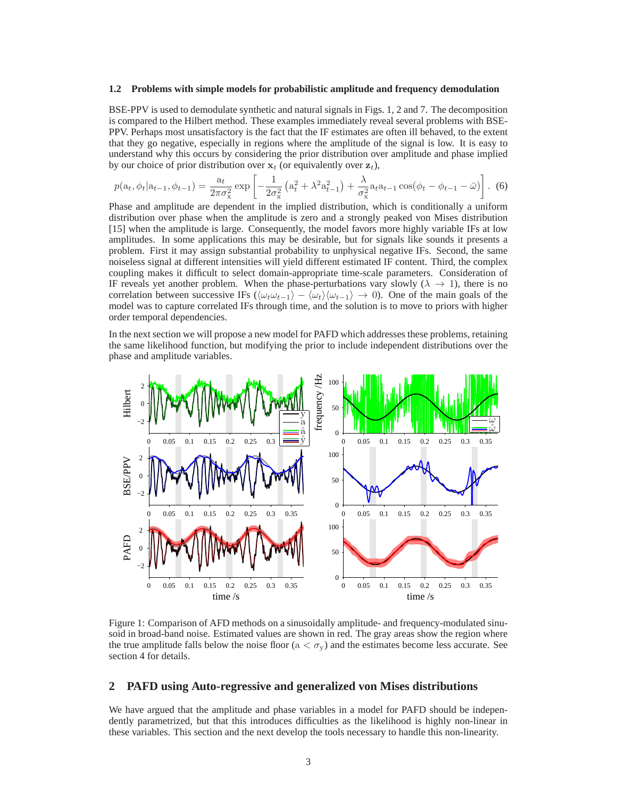#### **1.2 Problems with simple models for probabilistic amplitude and frequency demodulation**

BSE-PPV is used to demodulate synthetic and natural signals in Figs. 1, 2 and 7. The decomposition is compared to the Hilbert method. These examples immediately reveal several problems with BSE-PPV. Perhaps most unsatisfactory is the fact that the IF estimates are often ill behaved, to the extent that they go negative, especially in regions where the amplitude of the signal is low. It is easy to understand why this occurs by considering the prior distribution over amplitude and phase implied by our choice of prior distribution over  $x_t$  (or equivalently over  $z_t$ ),

$$
p(\mathbf{a}_t, \phi_t | \mathbf{a}_{t-1}, \phi_{t-1}) = \frac{\mathbf{a}_t}{2\pi\sigma_x^2} \exp\left[ -\frac{1}{2\sigma_x^2} \left( \mathbf{a}_t^2 + \lambda^2 \mathbf{a}_{t-1}^2 \right) + \frac{\lambda}{\sigma_x^2} \mathbf{a}_t \mathbf{a}_{t-1} \cos(\phi_t - \phi_{t-1} - \bar{\omega}) \right]. \tag{6}
$$

Phase and amplitude are dependent in the implied distribution, which is conditionally a uniform distribution over phase when the amplitude is zero and a strongly peaked von Mises distribution [15] when the amplitude is large. Consequently, the model favors more highly variable IFs at low amplitudes. In some applications this may be desirable, but for signals like sounds it presents a problem. First it may assign substantial probability to unphysical negative IFs. Second, the same noiseless signal at different intensities will yield different estimated IF content. Third, the complex coupling makes it difficult to select domain-appropriate time-scale parameters. Consideration of IF reveals yet another problem. When the phase-perturbations vary slowly ( $\lambda \rightarrow 1$ ), there is no correlation between successive IFs  $(\langle \omega_t \omega_{t-1} \rangle - \langle \omega_t \rangle \langle \omega_{t-1} \rangle \rightarrow 0)$ . One of the main goals of the model was to capture correlated IFs through time, and the solution is to move to priors with higher order temporal dependencies.

In the next section we will propose a new model for PAFD which addresses these problems, retaining the same likelihood function, but modifying the prior to include independent distributions over the phase and amplitude variables.



Figure 1: Comparison of AFD methods on a sinusoidally amplitude- and frequency-modulated sinusoid in broad-band noise. Estimated values are shown in red. The gray areas show the region where the true amplitude falls below the noise floor ( $a < \sigma_y$ ) and the estimates become less accurate. See section 4 for details.

### **2 PAFD using Auto-regressive and generalized von Mises distributions**

We have argued that the amplitude and phase variables in a model for PAFD should be independently parametrized, but that this introduces difficulties as the likelihood is highly non-linear in these variables. This section and the next develop the tools necessary to handle this non-linearity.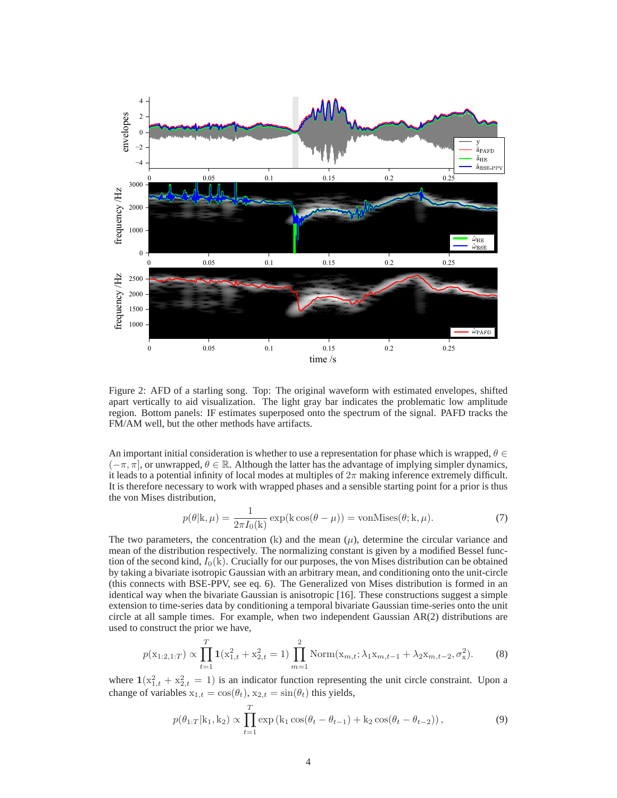

Figure 2: AFD of a starling song. Top: The original waveform with estimated envelopes, shifted apart vertically to aid visualization. The light gray bar indicates the problematic low amplitude region. Bottom panels: IF estimates superposed onto the spectrum of the signal. PAFD tracks the FM/AM well, but the other methods have artifacts.

An important initial consideration is whether to use a representation for phase which is wrapped,  $\theta \in$  $(-\pi, \pi]$ , or unwrapped,  $\theta \in \mathbb{R}$ . Although the latter has the advantage of implying simpler dynamics, it leads to a potential infinity of local modes at multiples of  $2\pi$  making inference extremely difficult. It is therefore necessary to work with wrapped phases and a sensible starting point for a prior is thus the von Mises distribution,

$$
p(\theta | \mathbf{k}, \mu) = \frac{1}{2\pi I_0(\mathbf{k})} \exp(\mathbf{k} \cos(\theta - \mu)) = \text{vonMises}(\theta; \mathbf{k}, \mu). \tag{7}
$$

The two parameters, the concentration (k) and the mean  $(\mu)$ , determine the circular variance and mean of the distribution respectively. The normalizing constant is given by a modified Bessel function of the second kind,  $I_0(k)$ . Crucially for our purposes, the von Mises distribution can be obtained by taking a bivariate isotropic Gaussian with an arbitrary mean, and conditioning onto the unit-circle (this connects with BSE-PPV, see eq. 6). The Generalized von Mises distribution is formed in an identical way when the bivariate Gaussian is anisotropic [16]. These constructions suggest a simple extension to time-series data by conditioning a temporal bivariate Gaussian time-series onto the unit circle at all sample times. For example, when two independent Gaussian AR(2) distributions are used to construct the prior we have,

$$
p(\mathbf{x}_{1:2,1:T}) \propto \prod_{t=1}^{T} \mathbf{1}(\mathbf{x}_{1,t}^2 + \mathbf{x}_{2,t}^2 = 1) \prod_{m=1}^{2} \text{Norm}(\mathbf{x}_{m,t}; \lambda_1 \mathbf{x}_{m,t-1} + \lambda_2 \mathbf{x}_{m,t-2}, \sigma_{\mathbf{x}}^2). \tag{8}
$$

where  $1(x_{1,t}^2 + x_{2,t}^2 = 1)$  is an indicator function representing the unit circle constraint. Upon a change of variables  $x_{1,t} = \cos(\theta_t)$ ,  $x_{2,t} = \sin(\theta_t)$  this yields,

$$
p(\theta_{1:T}|k_1, k_2) \propto \prod_{t=1}^{T} \exp(k_1 \cos(\theta_t - \theta_{t-1}) + k_2 \cos(\theta_t - \theta_{t-2})),
$$
\n(9)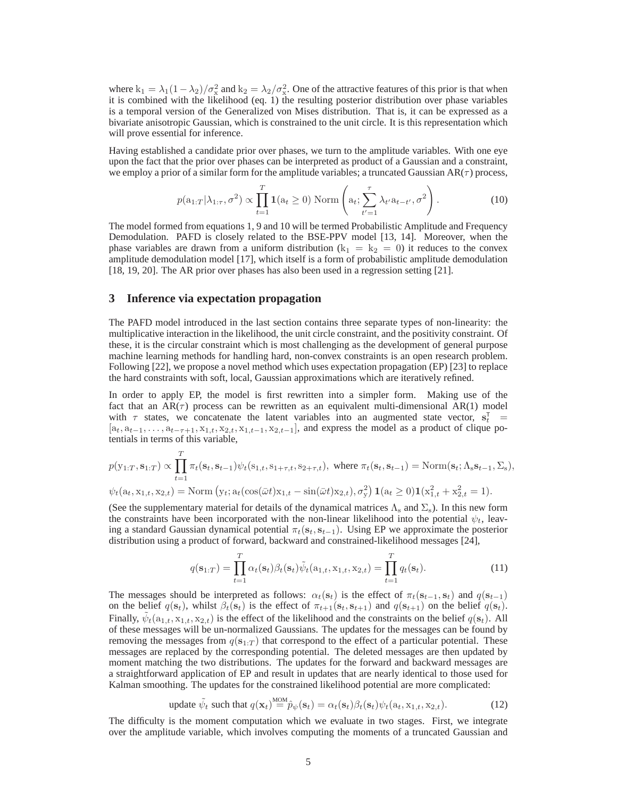where  $k_1 = \lambda_1(1-\lambda_2)/\sigma_x^2$  and  $k_2 = \lambda_2/\sigma_x^2$ . One of the attractive features of this prior is that when it is combined with the likelihood (eq. 1) the resulting posterior distribution over phase variables is a temporal version of the Generalized von Mises distribution. That is, it can be expressed as a bivariate anisotropic Gaussian, which is constrained to the unit circle. It is this representation which will prove essential for inference.

Having established a candidate prior over phases, we turn to the amplitude variables. With one eye upon the fact that the prior over phases can be interpreted as product of a Gaussian and a constraint, we employ a prior of a similar form for the amplitude variables; a truncated Gaussian  $AR(\tau)$  process,

$$
p(\mathbf{a}_{1:T}|\lambda_{1:\tau}, \sigma^2) \propto \prod_{t=1}^T \mathbf{1}(\mathbf{a}_t \ge 0) \text{ Norm}\left(\mathbf{a}_t; \sum_{t'=1}^\tau \lambda_{t'} \mathbf{a}_{t-t'}, \sigma^2\right). \tag{10}
$$

The model formed from equations 1, 9 and 10 will be termed Probabilistic Amplitude and Frequency Demodulation. PAFD is closely related to the BSE-PPV model [13, 14]. Moreover, when the phase variables are drawn from a uniform distribution ( $k_1 = k_2 = 0$ ) it reduces to the convex amplitude demodulation model [17], which itself is a form of probabilistic amplitude demodulation [18, 19, 20]. The AR prior over phases has also been used in a regression setting [21].

### **3 Inference via expectation propagation**

The PAFD model introduced in the last section contains three separate types of non-linearity: the multiplicative interaction in the likelihood, the unit circle constraint, and the positivity constraint. Of these, it is the circular constraint which is most challenging as the development of general purpose machine learning methods for handling hard, non-convex constraints is an open research problem. Following [22], we propose a novel method which uses expectation propagation (EP) [23] to replace the hard constraints with soft, local, Gaussian approximations which are iteratively refined.

In order to apply EP, the model is first rewritten into a simpler form. Making use of the fact that an  $AR(\tau)$  process can be rewritten as an equivalent multi-dimensional  $AR(1)$  model with  $\tau$  states, we concatenate the latent variables into an augmented state vector,  $s_t^T$  =  $[a_t, a_{t-1}, \ldots, a_{t-\tau+1}, x_{1,t}, x_{2,t}, x_{1,t-1}, x_{2,t-1}]$ , and express the model as a product of clique potentials in terms of this variable,

$$
p(y_{1:T}, \mathbf{s}_{1:T}) \propto \prod_{t=1}^{T} \pi_t(\mathbf{s}_t, \mathbf{s}_{t-1}) \psi_t(\mathbf{s}_{1,t}, \mathbf{s}_{1+\tau,t}, \mathbf{s}_{2+\tau,t}), \text{ where } \pi_t(\mathbf{s}_t, \mathbf{s}_{t-1}) = \text{Norm}(\mathbf{s}_t; \Lambda_s \mathbf{s}_{t-1}, \Sigma_s),
$$
  

$$
\psi_t(\mathbf{a}_t, \mathbf{x}_{1,t}, \mathbf{x}_{2,t}) = \text{Norm}\left(\mathbf{y}_t; \mathbf{a}_t(\cos(\bar{\omega}t)\mathbf{x}_{1,t} - \sin(\bar{\omega}t)\mathbf{x}_{2,t}), \sigma_y^2\right) \mathbf{1}(\mathbf{a}_t \ge 0) \mathbf{1}(\mathbf{x}_{1,t}^2 + \mathbf{x}_{2,t}^2 = 1).
$$

(See the supplementary material for details of the dynamical matrices  $\Lambda_s$  and  $\Sigma_s$ ). In this new form the constraints have been incorporated with the non-linear likelihood into the potential  $\psi_t$ , leaving a standard Gaussian dynamical potential  $\pi_t(s_t, s_{t-1})$ . Using EP we approximate the posterior distribution using a product of forward, backward and constrained-likelihood messages [24],

$$
q(\mathbf{s}_{1:T}) = \prod_{t=1}^{T} \alpha_t(\mathbf{s}_t) \beta_t(\mathbf{s}_t) \tilde{\psi}_t(a_{1,t}, \mathbf{x}_{1,t}, \mathbf{x}_{2,t}) = \prod_{t=1}^{T} q_t(\mathbf{s}_t).
$$
 (11)

The messages should be interpreted as follows:  $\alpha_t(\mathbf{s}_t)$  is the effect of  $\pi_t(\mathbf{s}_{t-1}, \mathbf{s}_t)$  and  $q(\mathbf{s}_{t-1})$ on the belief  $q(\mathbf{s}_t)$ , whilst  $\beta_t(\mathbf{s}_t)$  is the effect of  $\pi_{t+1}(\mathbf{s}_t, \mathbf{s}_{t+1})$  and  $q(\mathbf{s}_{t+1})$  on the belief  $q(\mathbf{s}_t)$ . Finally,  $\tilde{\psi}_t(\mathbf{a}_{1,t}, \mathbf{x}_{1,t}, \mathbf{x}_{2,t})$  is the effect of the likelihood and the constraints on the belief  $q(\mathbf{s}_t)$ . All of these messages will be un-normalized Gaussians. The updates for the messages can be found by removing the messages from  $q(s_{1:T})$  that correspond to the effect of a particular potential. These messages are replaced by the corresponding potential. The deleted messages are then updated by moment matching the two distributions. The updates for the forward and backward messages are a straightforward application of EP and result in updates that are nearly identical to those used for Kalman smoothing. The updates for the constrained likelihood potential are more complicated:

update 
$$
\tilde{\psi}_t
$$
 such that  $q(\mathbf{x}_t) \stackrel{\text{MOM}}{=} \hat{p}_{\psi}(\mathbf{s}_t) = \alpha_t(\mathbf{s}_t)\beta_t(\mathbf{s}_t)\psi_t(a_t, \mathbf{x}_{1,t}, \mathbf{x}_{2,t}).$  (12)

The difficulty is the moment computation which we evaluate in two stages. First, we integrate over the amplitude variable, which involves computing the moments of a truncated Gaussian and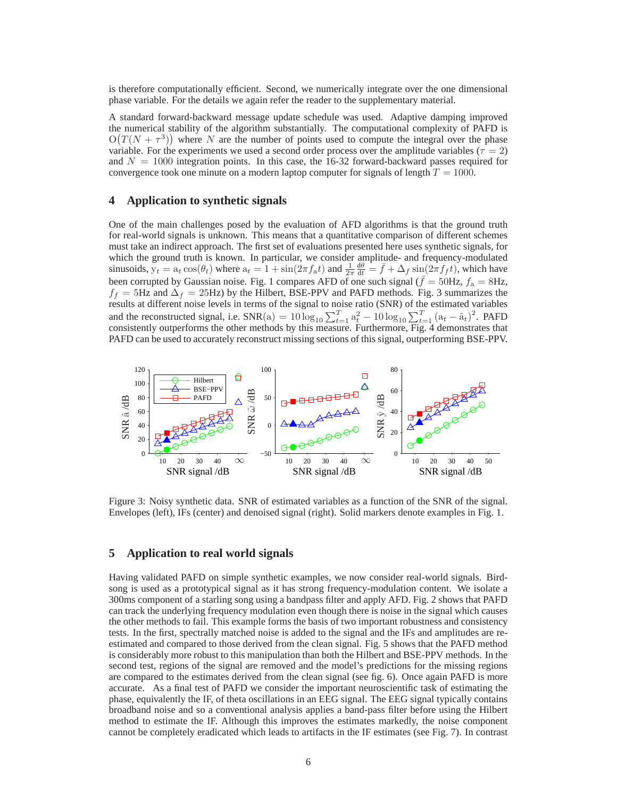is therefore computationally efficient. Second, we numerically integrate over the one dimensional phase variable. For the details we again refer the reader to the supplementary material.

A standard forward-backward message update schedule was used. Adaptive damping improved the numerical stability of the algorithm substantially. The computational complexity of PAFD is  $O(T(N + \tau^3))$  where N are the number of points used to compute the integral over the phase variable. For the experiments we used a second order process over the amplitude variables ( $\tau = 2$ ) and  $N = 1000$  integration points. In this case, the 16-32 forward-backward passes required for convergence took one minute on a modern laptop computer for signals of length  $T = 1000$ .

### **4 Application to synthetic signals**

One of the main challenges posed by the evaluation of AFD algorithms is that the ground truth for real-world signals is unknown. This means that a quantitative comparison of different schemes must take an indirect approach. The first set of evaluations presented here uses synthetic signals, for which the ground truth is known. In particular, we consider amplitude- and frequency-modulated sinusoids,  $\mathbf{y}_t = \mathbf{a}_t \cos(\theta_t)$  where  $\mathbf{a}_t = 1 + \sin(2\pi f_a t)$  and  $\frac{1}{2\pi} \frac{d\theta}{dt} = \bar{f} + \Delta_f \sin(2\pi f_f t)$ , which have been corrupted by Gaussian noise. Fig. 1 compares AFD of one such signal ( $\bar{f} = 50$ Hz,  $f_a = 8$ Hz,  $f_f = 5$ Hz and  $\Delta_f = 25$ Hz) by the Hilbert, BSE-PPV and PAFD methods. Fig. 3 summarizes the results at different noise levels in terms of the signal to noise ratio (SNR) of the estimated variables and the reconstructed signal, i.e.  $SNR(a) = 10 \log_{10} \sum_{t=1}^{T} a_t^2 - 10 \log_{10} \sum_{t=1}^{T} (a_t - \hat{a}_t)^2$ . PAFD consistently outperforms the other methods by this measure. Furthermore, Fig. 4 demonstrates that PAFD can be used to accurately reconstruct missing sections of this signal, outperforming BSE-PPV.



Figure 3: Noisy synthetic data. SNR of estimated variables as a function of the SNR of the signal. Envelopes (left), IFs (center) and denoised signal (right). Solid markers denote examples in Fig. 1.

# **5 Application to real world signals**

Having validated PAFD on simple synthetic examples, we now consider real-world signals. Birdsong is used as a prototypical signal as it has strong frequency-modulation content. We isolate a 300ms component of a starling song using a bandpass filter and apply AFD. Fig. 2 shows that PAFD can track the underlying frequency modulation even though there is noise in the signal which causes the other methods to fail. This example forms the basis of two important robustness and consistency tests. In the first, spectrally matched noise is added to the signal and the IFs and amplitudes are reestimated and compared to those derived from the clean signal. Fig. 5 shows that the PAFD method is considerably more robust to this manipulation than both the Hilbert and BSE-PPV methods. In the second test, regions of the signal are removed and the model's predictions for the missing regions are compared to the estimates derived from the clean signal (see fig. 6). Once again PAFD is more accurate. As a final test of PAFD we consider the important neuroscientific task of estimating the phase, equivalently the IF, of theta oscillations in an EEG signal. The EEG signal typically contains broadband noise and so a conventional analysis applies a band-pass filter before using the Hilbert method to estimate the IF. Although this improves the estimates markedly, the noise component cannot be completely eradicated which leads to artifacts in the IF estimates (see Fig. 7). In contrast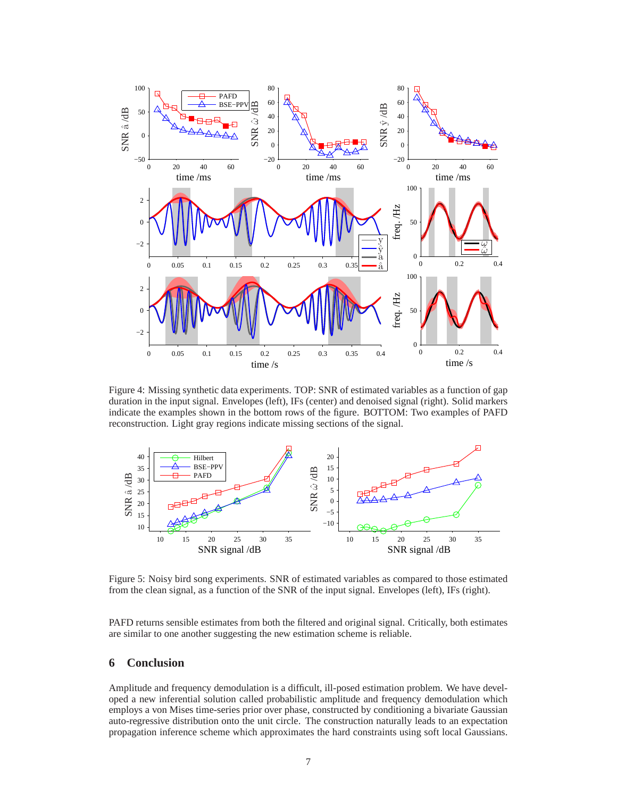

Figure 4: Missing synthetic data experiments. TOP: SNR of estimated variables as a function of gap duration in the input signal. Envelopes (left), IFs (center) and denoised signal (right). Solid markers indicate the examples shown in the bottom rows of the figure. BOTTOM: Two examples of PAFD reconstruction. Light gray regions indicate missing sections of the signal.



Figure 5: Noisy bird song experiments. SNR of estimated variables as compared to those estimated from the clean signal, as a function of the SNR of the input signal. Envelopes (left), IFs (right).

PAFD returns sensible estimates from both the filtered and original signal. Critically, both estimates are similar to one another suggesting the new estimation scheme is reliable.

# **6 Conclusion**

Amplitude and frequency demodulation is a difficult, ill-posed estimation problem. We have developed a new inferential solution called probabilistic amplitude and frequency demodulation which employs a von Mises time-series prior over phase, constructed by conditioning a bivariate Gaussian auto-regressive distribution onto the unit circle. The construction naturally leads to an expectation propagation inference scheme which approximates the hard constraints using soft local Gaussians.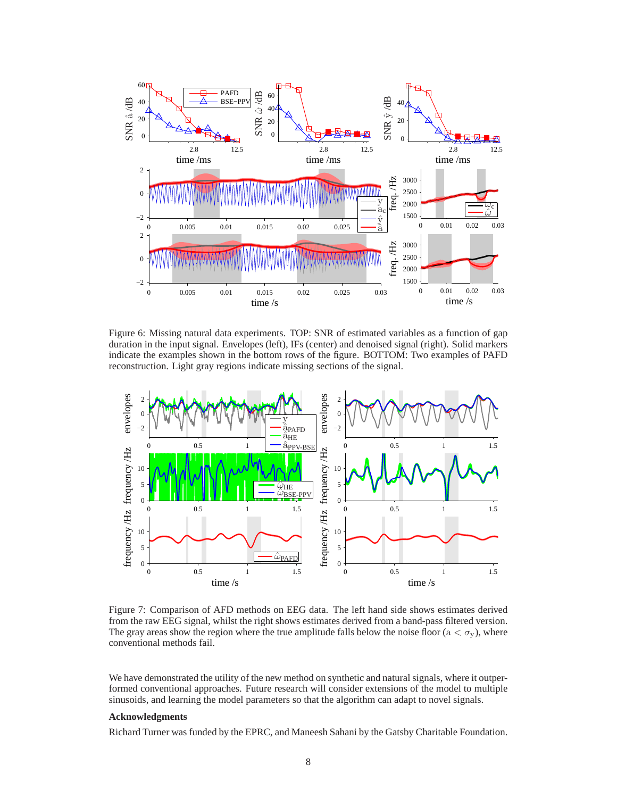

Figure 6: Missing natural data experiments. TOP: SNR of estimated variables as a function of gap duration in the input signal. Envelopes (left), IFs (center) and denoised signal (right). Solid markers indicate the examples shown in the bottom rows of the figure. BOTTOM: Two examples of PAFD reconstruction. Light gray regions indicate missing sections of the signal.



Figure 7: Comparison of AFD methods on EEG data. The left hand side shows estimates derived from the raw EEG signal, whilst the right shows estimates derived from a band-pass filtered version. The gray areas show the region where the true amplitude falls below the noise floor ( $a < \sigma_y$ ), where conventional methods fail.

We have demonstrated the utility of the new method on synthetic and natural signals, where it outperformed conventional approaches. Future research will consider extensions of the model to multiple sinusoids, and learning the model parameters so that the algorithm can adapt to novel signals.

#### **Acknowledgments**

Richard Turner was funded by the EPRC, and Maneesh Sahani by the Gatsby Charitable Foundation.